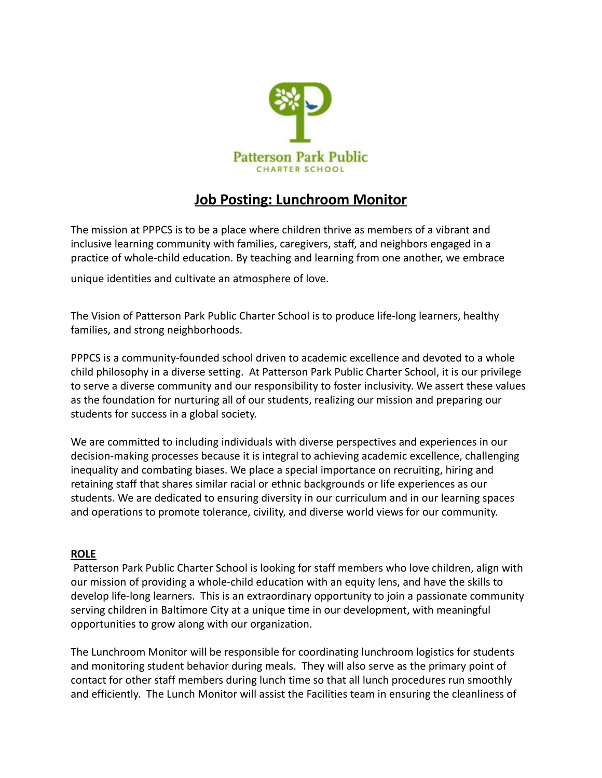

# **Job Posting: Lunchroom Monitor**

The mission at PPPCS is to be a place where children thrive as members of a vibrant and inclusive learning community with families, caregivers, staff, and neighbors engaged in a practice of whole-child education. By teaching and learning from one another, we embrace

unique identities and cultivate an atmosphere of love.

The Vision of Patterson Park Public Charter School is to produce life-long learners, healthy families, and strong neighborhoods.

PPPCS is a community-founded school driven to academic excellence and devoted to a whole child philosophy in a diverse setting. At Patterson Park Public Charter School, it is our privilege to serve a diverse community and our responsibility to foster inclusivity. We assert these values as the foundation for nurturing all of our students, realizing our mission and preparing our students for success in a global society.

We are committed to including individuals with diverse perspectives and experiences in our decision-making processes because it is integral to achieving academic excellence, challenging inequality and combating biases. We place a special importance on recruiting, hiring and retaining staff that shares similar racial or ethnic backgrounds or life experiences as our students. We are dedicated to ensuring diversity in our curriculum and in our learning spaces and operations to promote tolerance, civility, and diverse world views for our community.

# **ROLE**

Patterson Park Public Charter School is looking for staff members who love children, align with our mission of providing a whole-child education with an equity lens, and have the skills to develop life-long learners. This is an extraordinary opportunity to join a passionate community serving children in Baltimore City at a unique time in our development, with meaningful opportunities to grow along with our organization.

The Lunchroom Monitor will be responsible for coordinating lunchroom logistics for students and monitoring student behavior during meals. They will also serve as the primary point of contact for other staff members during lunch time so that all lunch procedures run smoothly and efficiently. The Lunch Monitor will assist the Facilities team in ensuring the cleanliness of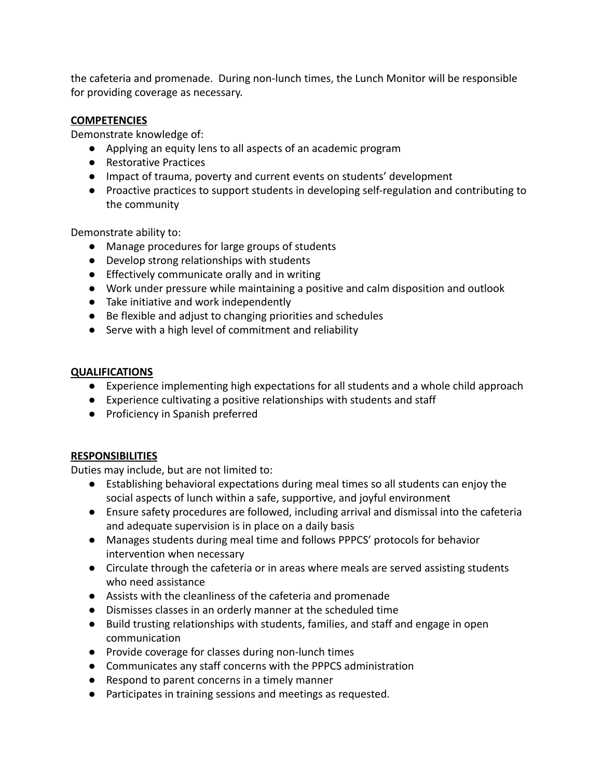the cafeteria and promenade. During non-lunch times, the Lunch Monitor will be responsible for providing coverage as necessary.

# **COMPETENCIES**

Demonstrate knowledge of:

- Applying an equity lens to all aspects of an academic program
- Restorative Practices
- Impact of trauma, poverty and current events on students' development
- Proactive practices to support students in developing self-regulation and contributing to the community

Demonstrate ability to:

- Manage procedures for large groups of students
- Develop strong relationships with students
- Effectively communicate orally and in writing
- Work under pressure while maintaining a positive and calm disposition and outlook
- Take initiative and work independently
- Be flexible and adjust to changing priorities and schedules
- Serve with a high level of commitment and reliability

#### **QUALIFICATIONS**

- Experience implementing high expectations for all students and a whole child approach
- Experience cultivating a positive relationships with students and staff
- Proficiency in Spanish preferred

# **RESPONSIBILITIES**

Duties may include, but are not limited to:

- Establishing behavioral expectations during meal times so all students can enjoy the social aspects of lunch within a safe, supportive, and joyful environment
- Ensure safety procedures are followed, including arrival and dismissal into the cafeteria and adequate supervision is in place on a daily basis
- Manages students during meal time and follows PPPCS' protocols for behavior intervention when necessary
- Circulate through the cafeteria or in areas where meals are served assisting students who need assistance
- Assists with the cleanliness of the cafeteria and promenade
- Dismisses classes in an orderly manner at the scheduled time
- Build trusting relationships with students, families, and staff and engage in open communication
- Provide coverage for classes during non-lunch times
- Communicates any staff concerns with the PPPCS administration
- Respond to parent concerns in a timely manner
- Participates in training sessions and meetings as requested.